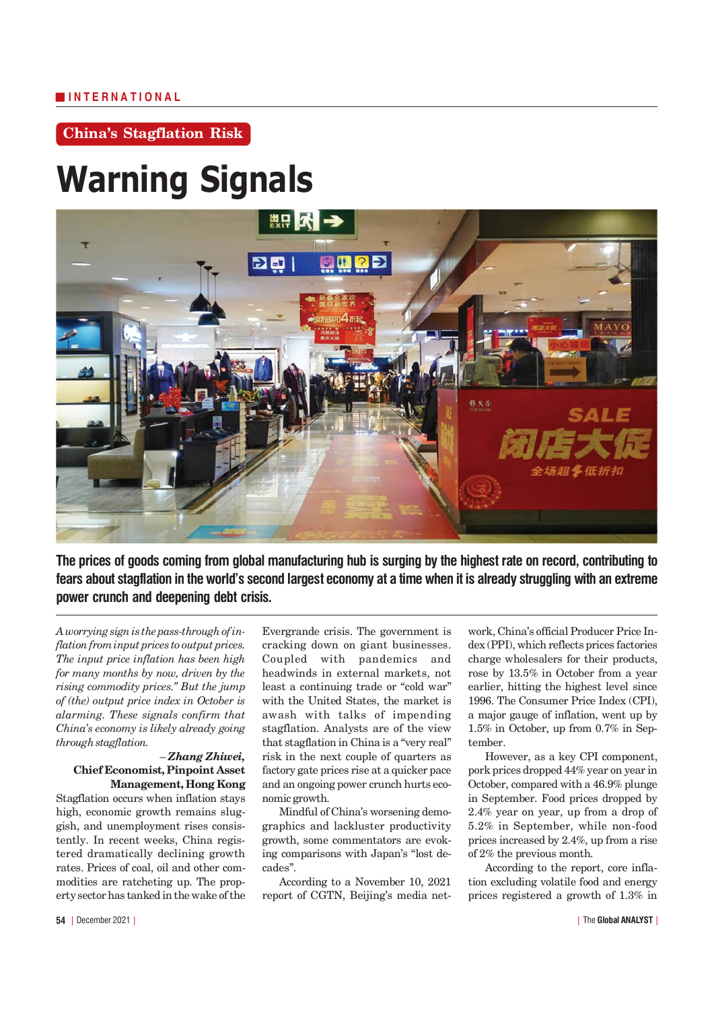# **INTERNATIONAL**

# **China's Stagflation Risk**

# **Warning Signals**



The prices of goods coming from global manufacturing hub is surging by the highest rate on record, contributing to fears about stagflation in the world's second largest economy at a time when it is already struggling with an extreme power crunch and deepening debt crisis.

*A worrying sign is the pass-through of inflation from input prices to output prices. The input price inflation has been high for many months by now, driven by the rising commodity prices. But the jump of (the) output price index in October is alarming. These signals confirm that China's economy is likely already going through stagflation.*

### *Zhang Zhiwei,* Chief Economist, Pinpoint Asset Management, Hong Kong

Stagflation occurs when inflation stays high, economic growth remains sluggish, and unemployment rises consistently. In recent weeks, China registered dramatically declining growth rates. Prices of coal, oil and other commodities are ratcheting up. The property sector has tanked in the wake of the

Evergrande crisis. The government is cracking down on giant businesses. Coupled with pandemics and headwinds in external markets, not least a continuing trade or "cold war" with the United States, the market is awash with talks of impending stagflation. Analysts are of the view that stagflation in China is a "very real" risk in the next couple of quarters as factory gate prices rise at a quicker pace and an ongoing power crunch hurts economic growth.

Mindful of China's worsening demographics and lackluster productivity growth, some commentators are evoking comparisons with Japan's "lost decades".

According to a November 10, 2021 report of CGTN, Beijing's media net-

work, China's official Producer Price Index (PPI), which reflects prices factories charge wholesalers for their products, rose by 13.5% in October from a year earlier, hitting the highest level since 1996. The Consumer Price Index (CPI), a major gauge of inflation, went up by 1.5% in October, up from 0.7% in September.

However, as a key CPI component, pork prices dropped 44% year on year in October, compared with a 46.9% plunge in September. Food prices dropped by 2.4% year on year, up from a drop of 5.2% in September, while non-food prices increased by 2.4%, up from a rise of 2% the previous month.

According to the report, core inflation excluding volatile food and energy prices registered a growth of 1.3% in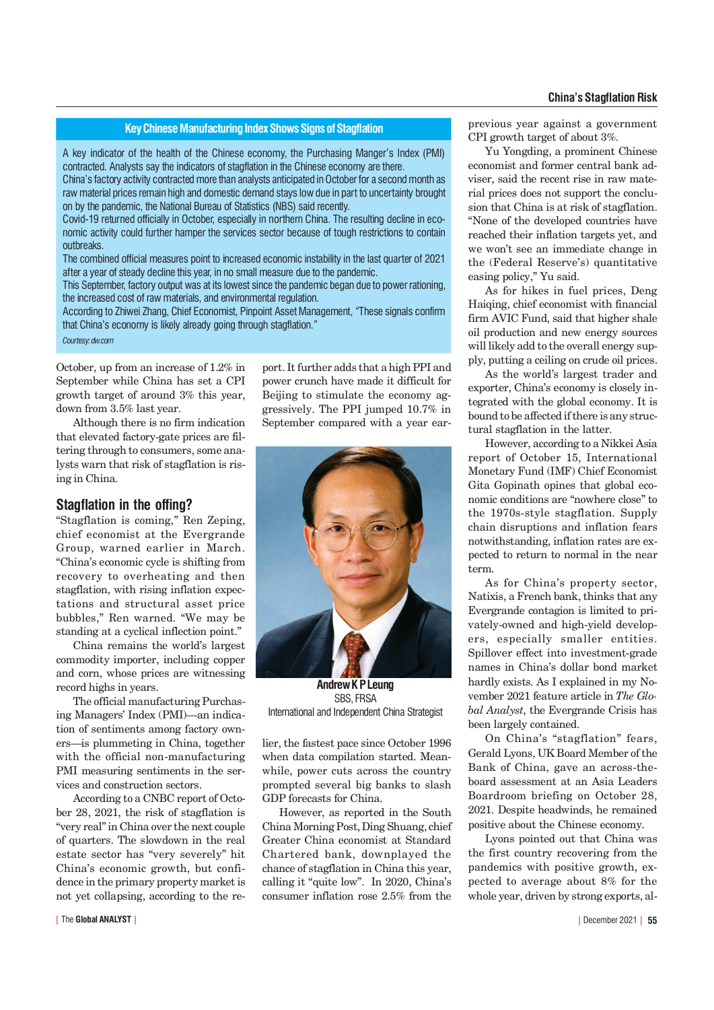#### **China's Stagflation Risk**

#### Key Chinese Manufacturing Index Shows Signs of Stagflation

A key indicator of the health of the Chinese economy, the Purchasing Manger's Index (PMI) contracted. Analysts say the indicators of stagflation in the Chinese economy are there. China's factory activity contracted more than analysts anticipated in October for a second month as raw material prices remain high and domestic demand stays low due in part to uncertainty brought

on by the pandemic, the National Bureau of Statistics (NBS) said recently. Covid-19 returned officially in October, especially in northern China. The resulting decline in economic activity could further hamper the services sector because of tough restrictions to contain outbreaks.

The combined official measures point to increased economic instability in the last quarter of 2021 after a year of steady decline this year, in no small measure due to the pandemic.

This September, factory output was at its lowest since the pandemic began due to power rationing, the increased cost of raw materials, and environmental regulation.

According to Zhiwei Zhang, Chief Economist, Pinpoint Asset Management, "These signals confirm that China's economy is likely already going through stagflation."

Courtesy: dw.com

October, up from an increase of 1.2% in September while China has set a CPI growth target of around 3% this year, down from 3.5% last year.

Although there is no firm indication that elevated factory-gate prices are filtering through to consumers, some analysts warn that risk of stagflation is rising in China.

# **Stagflation in the offing?**

"Stagflation is coming," Ren Zeping, chief economist at the Evergrande Group, warned earlier in March. "China's economic cycle is shifting from recovery to overheating and then stagflation, with rising inflation expectations and structural asset price bubbles," Ren warned. "We may be standing at a cyclical inflection point.

China remains the world's largest commodity importer, including copper and corn, whose prices are witnessing record highs in years.

The official manufacturing Purchasing Managers' Index (PMI)—an indication of sentiments among factory owners-is plummeting in China, together with the official non-manufacturing PMI measuring sentiments in the services and construction sectors.

According to a CNBC report of October 28, 2021, the risk of stagflation is "very real" in China over the next couple of quarters. The slowdown in the real estate sector has "very severely" hit China's economic growth, but confidence in the primary property market is not yet collapsing, according to the re-

The Global ANALYST | State of the Second State of the Second State of the Second State of the Second State of the Second State of the Second State of the Second State of the Second State of the Second State of the Second S

port. It further adds that a high PPI and power crunch have made it difficult for Beijing to stimulate the economy aggressively. The PPI jumped 10.7% in September compared with a year ear-



**Andrew K P Leung SBS. FRSA** International and Independent China Strategist

lier, the fastest pace since October 1996 when data compilation started. Meanwhile, power cuts across the country prompted several big banks to slash GDP forecasts for China.

However, as reported in the South China Morning Post, Ding Shuang, chief Greater China economist at Standard Chartered bank, downplayed the chance of stagflation in China this year, calling it "quite low". In 2020, China's consumer inflation rose 2.5% from the

previous year against a government CPI growth target of about 3%.

Yu Yongding, a prominent Chinese economist and former central bank adviser, said the recent rise in raw material prices does not support the conclusion that China is at risk of stagflation. None of the developed countries have reached their inflation targets yet, and we won't see an immediate change in the (Federal Reserve's) quantitative easing policy," Yu said.

As for hikes in fuel prices, Deng Haiqing, chief economist with financial firm AVIC Fund, said that higher shale oil production and new energy sources will likely add to the overall energy supply, putting a ceiling on crude oil prices.

As the world's largest trader and exporter, China's economy is closely integrated with the global economy. It is bound to be affected if there is any structural stagflation in the latter.

However, according to a Nikkei Asia report of October 15, International Monetary Fund (IMF) Chief Economist Gita Gopinath opines that global economic conditions are "nowhere close" to the 1970s-style stagflation. Supply chain disruptions and inflation fears notwithstanding, inflation rates are expected to return to normal in the near term.

As for China's property sector, Natixis, a French bank, thinks that any Evergrande contagion is limited to privately-owned and high-yield developers, especially smaller entities. Spillover effect into investment-grade names in China's dollar bond market hardly exists. As I explained in my November 2021 feature article in *The Global Analyst*, the Evergrande Crisis has been largely contained.

On China's "stagflation" fears, Gerald Lyons, UK Board Member of the Bank of China, gave an across-theboard assessment at an Asia Leaders Boardroom briefing on October 28, 2021. Despite headwinds, he remained positive about the Chinese economy.

Lyons pointed out that China was the first country recovering from the pandemics with positive growth, expected to average about 8% for the whole year, driven by strong exports, al-